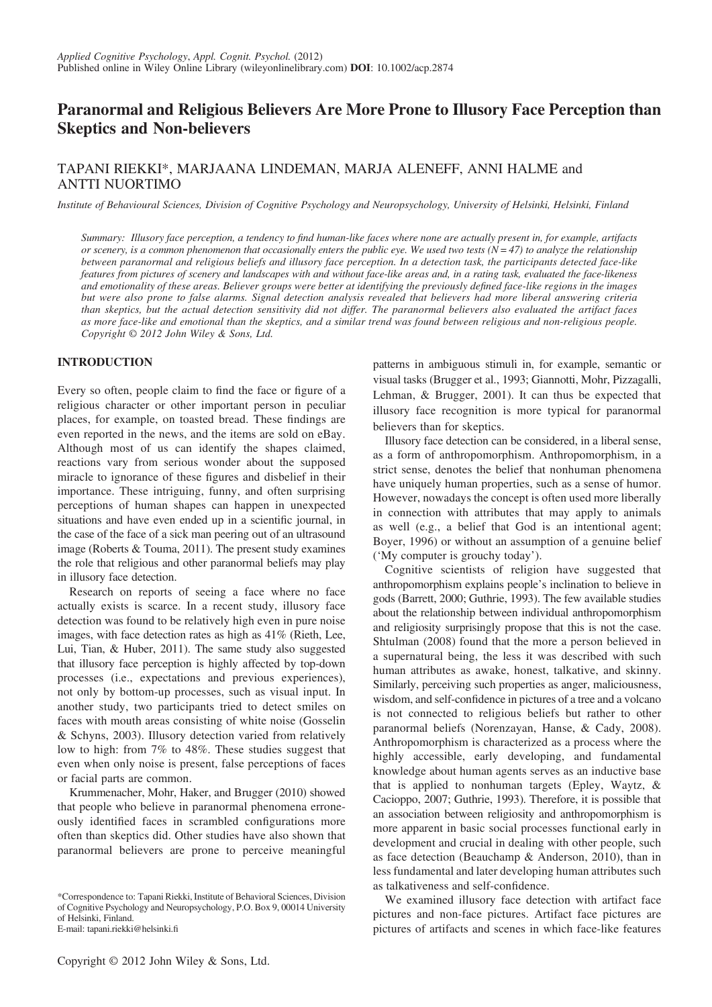# Paranormal and Religious Believers Are More Prone to Illusory Face Perception than Skeptics and Non-believers

# TAPANI RIEKKI\*, MARJAANA LINDEMAN, MARJA ALENEFF, ANNI HALME and ANTTI NUORTIMO

Institute of Behavioural Sciences, Division of Cognitive Psychology and Neuropsychology, University of Helsinki, Helsinki, Finland

Summary: Illusory face perception, a tendency to find human-like faces where none are actually present in, for example, artifacts or scenery, is a common phenomenon that occasionally enters the public eye. We used two tests  $(N = 47)$  to analyze the relationship between paranormal and religious beliefs and illusory face perception. In a detection task, the participants detected face-like features from pictures of scenery and landscapes with and without face-like areas and, in a rating task, evaluated the face-likeness and emotionality of these areas. Believer groups were better at identifying the previously defined face-like regions in the images but were also prone to false alarms. Signal detection analysis revealed that believers had more liberal answering criteria than skeptics, but the actual detection sensitivity did not differ. The paranormal believers also evaluated the artifact faces as more face-like and emotional than the skeptics, and a similar trend was found between religious and non-religious people. Copyright © 2012 John Wiley & Sons, Ltd.

#### INTRODUCTION

Every so often, people claim to find the face or figure of a religious character or other important person in peculiar places, for example, on toasted bread. These findings are even reported in the news, and the items are sold on eBay. Although most of us can identify the shapes claimed, reactions vary from serious wonder about the supposed miracle to ignorance of these figures and disbelief in their importance. These intriguing, funny, and often surprising perceptions of human shapes can happen in unexpected situations and have even ended up in a scientific journal, in the case of the face of a sick man peering out of an ultrasound image (Roberts & Touma, 2011). The present study examines the role that religious and other paranormal beliefs may play in illusory face detection.

Research on reports of seeing a face where no face actually exists is scarce. In a recent study, illusory face detection was found to be relatively high even in pure noise images, with face detection rates as high as 41% (Rieth, Lee, Lui, Tian, & Huber, 2011). The same study also suggested that illusory face perception is highly affected by top-down processes (i.e., expectations and previous experiences), not only by bottom-up processes, such as visual input. In another study, two participants tried to detect smiles on faces with mouth areas consisting of white noise (Gosselin & Schyns, 2003). Illusory detection varied from relatively low to high: from 7% to 48%. These studies suggest that even when only noise is present, false perceptions of faces or facial parts are common.

Krummenacher, Mohr, Haker, and Brugger (2010) showed that people who believe in paranormal phenomena erroneously identified faces in scrambled configurations more often than skeptics did. Other studies have also shown that paranormal believers are prone to perceive meaningful

\*Correspondence to: Tapani Riekki, Institute of Behavioral Sciences, Division of Cognitive Psychology and Neuropsychology, P.O. Box 9, 00014 University of Helsinki, Finland.

E-mail: tapani.riekki@helsinki.fi

patterns in ambiguous stimuli in, for example, semantic or visual tasks (Brugger et al., 1993; Giannotti, Mohr, Pizzagalli, Lehman, & Brugger, 2001). It can thus be expected that illusory face recognition is more typical for paranormal believers than for skeptics.

Illusory face detection can be considered, in a liberal sense, as a form of anthropomorphism. Anthropomorphism, in a strict sense, denotes the belief that nonhuman phenomena have uniquely human properties, such as a sense of humor. However, nowadays the concept is often used more liberally in connection with attributes that may apply to animals as well (e.g., a belief that God is an intentional agent; Boyer, 1996) or without an assumption of a genuine belief ('My computer is grouchy today').

Cognitive scientists of religion have suggested that anthropomorphism explains people's inclination to believe in gods (Barrett, 2000; Guthrie, 1993). The few available studies about the relationship between individual anthropomorphism and religiosity surprisingly propose that this is not the case. Shtulman (2008) found that the more a person believed in a supernatural being, the less it was described with such human attributes as awake, honest, talkative, and skinny. Similarly, perceiving such properties as anger, maliciousness, wisdom, and self-confidence in pictures of a tree and a volcano is not connected to religious beliefs but rather to other paranormal beliefs (Norenzayan, Hanse, & Cady, 2008). Anthropomorphism is characterized as a process where the highly accessible, early developing, and fundamental knowledge about human agents serves as an inductive base that is applied to nonhuman targets (Epley, Waytz, & Cacioppo, 2007; Guthrie, 1993). Therefore, it is possible that an association between religiosity and anthropomorphism is more apparent in basic social processes functional early in development and crucial in dealing with other people, such as face detection (Beauchamp & Anderson, 2010), than in less fundamental and later developing human attributes such as talkativeness and self-confidence.

We examined illusory face detection with artifact face pictures and non-face pictures. Artifact face pictures are pictures of artifacts and scenes in which face-like features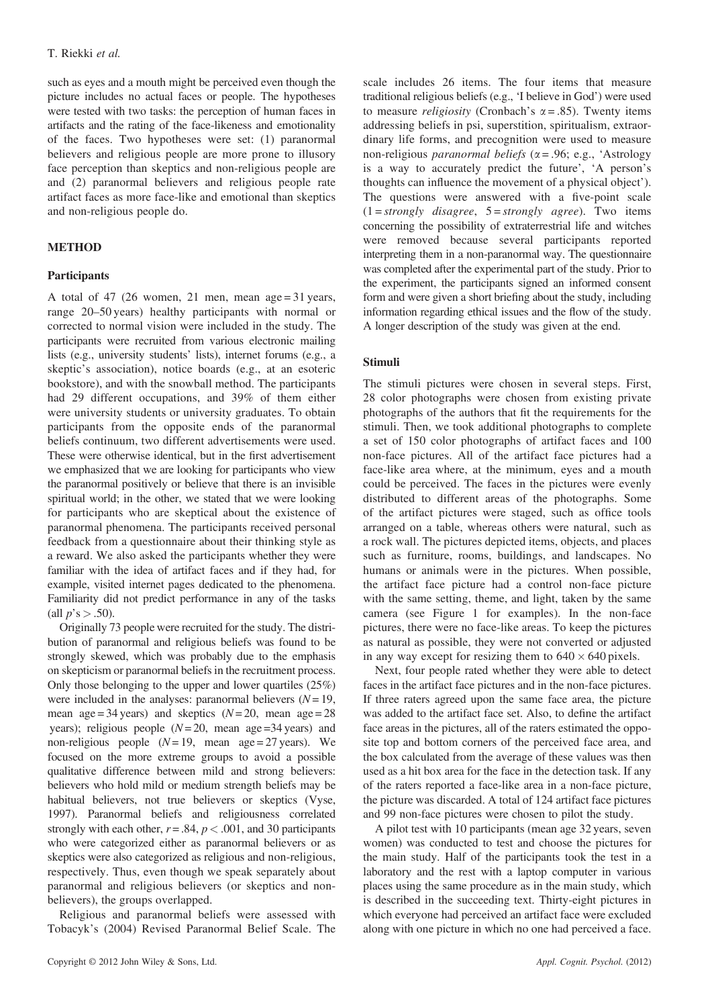such as eyes and a mouth might be perceived even though the picture includes no actual faces or people. The hypotheses were tested with two tasks: the perception of human faces in artifacts and the rating of the face-likeness and emotionality of the faces. Two hypotheses were set: (1) paranormal believers and religious people are more prone to illusory face perception than skeptics and non-religious people are and (2) paranormal believers and religious people rate artifact faces as more face-like and emotional than skeptics and non-religious people do.

# **METHOD**

# **Participants**

A total of 47 (26 women, 21 men, mean age =  $31$  years, range 20–50 years) healthy participants with normal or corrected to normal vision were included in the study. The participants were recruited from various electronic mailing lists (e.g., university students' lists), internet forums (e.g., a skeptic's association), notice boards (e.g., at an esoteric bookstore), and with the snowball method. The participants had 29 different occupations, and 39% of them either were university students or university graduates. To obtain participants from the opposite ends of the paranormal beliefs continuum, two different advertisements were used. These were otherwise identical, but in the first advertisement we emphasized that we are looking for participants who view the paranormal positively or believe that there is an invisible spiritual world; in the other, we stated that we were looking for participants who are skeptical about the existence of paranormal phenomena. The participants received personal feedback from a questionnaire about their thinking style as a reward. We also asked the participants whether they were familiar with the idea of artifact faces and if they had, for example, visited internet pages dedicated to the phenomena. Familiarity did not predict performance in any of the tasks (all  $p's > .50$ ).

Originally 73 people were recruited for the study. The distribution of paranormal and religious beliefs was found to be strongly skewed, which was probably due to the emphasis on skepticism or paranormal beliefs in the recruitment process. Only those belonging to the upper and lower quartiles (25%) were included in the analyses: paranormal believers  $(N= 19)$ , mean age =  $34$  years) and skeptics ( $N = 20$ , mean age =  $28$ years); religious people  $(N= 20$ , mean age =34 years) and non-religious people  $(N= 19)$ , mean age = 27 years). We focused on the more extreme groups to avoid a possible qualitative difference between mild and strong believers: believers who hold mild or medium strength beliefs may be habitual believers, not true believers or skeptics (Vyse, 1997). Paranormal beliefs and religiousness correlated strongly with each other,  $r = .84$ ,  $p < .001$ , and 30 participants who were categorized either as paranormal believers or as skeptics were also categorized as religious and non-religious, respectively. Thus, even though we speak separately about paranormal and religious believers (or skeptics and nonbelievers), the groups overlapped.

Religious and paranormal beliefs were assessed with Tobacyk's (2004) Revised Paranormal Belief Scale. The scale includes 26 items. The four items that measure traditional religious beliefs (e.g., 'I believe in God') were used to measure *religiosity* (Cronbach's  $\alpha$  = .85). Twenty items addressing beliefs in psi, superstition, spiritualism, extraordinary life forms, and precognition were used to measure non-religious *paranormal beliefs* ( $\alpha$  = .96; e.g., 'Astrology is a way to accurately predict the future', 'A person's thoughts can influence the movement of a physical object'). The questions were answered with a five-point scale  $(1 = strongly \ disagree, 5 = strongly \ agree).$  Two items concerning the possibility of extraterrestrial life and witches were removed because several participants reported interpreting them in a non-paranormal way. The questionnaire was completed after the experimental part of the study. Prior to the experiment, the participants signed an informed consent form and were given a short briefing about the study, including information regarding ethical issues and the flow of the study. A longer description of the study was given at the end.

# Stimuli

The stimuli pictures were chosen in several steps. First, 28 color photographs were chosen from existing private photographs of the authors that fit the requirements for the stimuli. Then, we took additional photographs to complete a set of 150 color photographs of artifact faces and 100 non-face pictures. All of the artifact face pictures had a face-like area where, at the minimum, eyes and a mouth could be perceived. The faces in the pictures were evenly distributed to different areas of the photographs. Some of the artifact pictures were staged, such as office tools arranged on a table, whereas others were natural, such as a rock wall. The pictures depicted items, objects, and places such as furniture, rooms, buildings, and landscapes. No humans or animals were in the pictures. When possible, the artifact face picture had a control non-face picture with the same setting, theme, and light, taken by the same camera (see Figure 1 for examples). In the non-face pictures, there were no face-like areas. To keep the pictures as natural as possible, they were not converted or adjusted in any way except for resizing them to  $640 \times 640$  pixels.

Next, four people rated whether they were able to detect faces in the artifact face pictures and in the non-face pictures. If three raters agreed upon the same face area, the picture was added to the artifact face set. Also, to define the artifact face areas in the pictures, all of the raters estimated the opposite top and bottom corners of the perceived face area, and the box calculated from the average of these values was then used as a hit box area for the face in the detection task. If any of the raters reported a face-like area in a non-face picture, the picture was discarded. A total of 124 artifact face pictures and 99 non-face pictures were chosen to pilot the study.

A pilot test with 10 participants (mean age 32 years, seven women) was conducted to test and choose the pictures for the main study. Half of the participants took the test in a laboratory and the rest with a laptop computer in various places using the same procedure as in the main study, which is described in the succeeding text. Thirty-eight pictures in which everyone had perceived an artifact face were excluded along with one picture in which no one had perceived a face.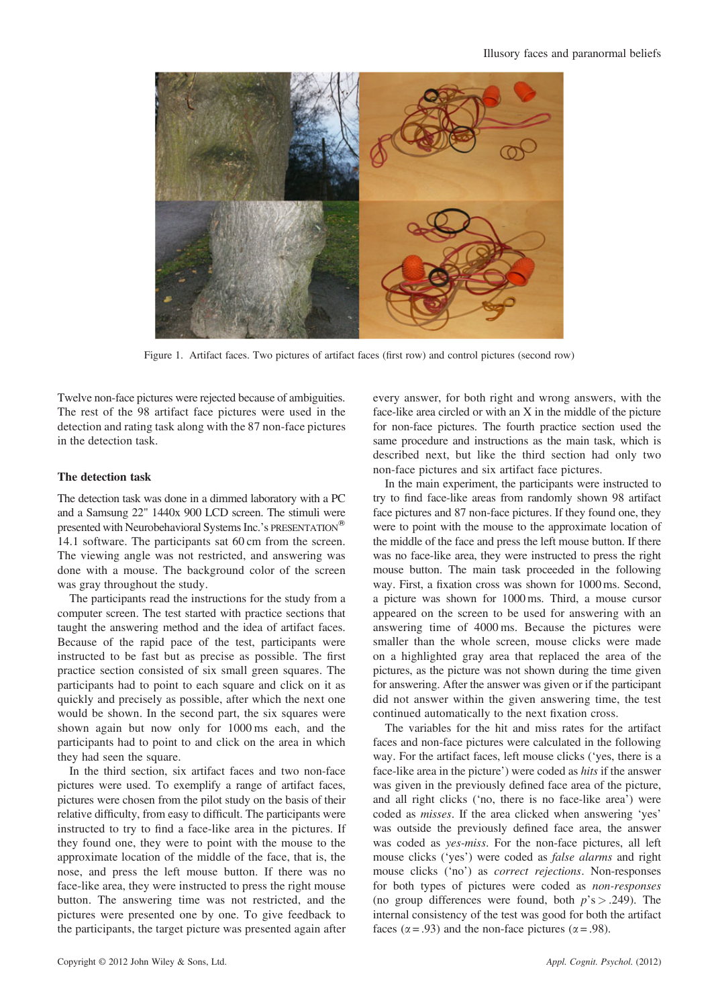

Figure 1. Artifact faces. Two pictures of artifact faces (first row) and control pictures (second row)

Twelve non-face pictures were rejected because of ambiguities. The rest of the 98 artifact face pictures were used in the detection and rating task along with the 87 non-face pictures in the detection task.

#### The detection task

The detection task was done in a dimmed laboratory with a PC and a Samsung 22" 1440x 900 LCD screen. The stimuli were presented with Neurobehavioral Systems Inc.'s PRESENTATION<sup>®</sup> 14.1 software. The participants sat 60 cm from the screen. The viewing angle was not restricted, and answering was done with a mouse. The background color of the screen was gray throughout the study.

The participants read the instructions for the study from a computer screen. The test started with practice sections that taught the answering method and the idea of artifact faces. Because of the rapid pace of the test, participants were instructed to be fast but as precise as possible. The first practice section consisted of six small green squares. The participants had to point to each square and click on it as quickly and precisely as possible, after which the next one would be shown. In the second part, the six squares were shown again but now only for 1000 ms each, and the participants had to point to and click on the area in which they had seen the square.

In the third section, six artifact faces and two non-face pictures were used. To exemplify a range of artifact faces, pictures were chosen from the pilot study on the basis of their relative difficulty, from easy to difficult. The participants were instructed to try to find a face-like area in the pictures. If they found one, they were to point with the mouse to the approximate location of the middle of the face, that is, the nose, and press the left mouse button. If there was no face-like area, they were instructed to press the right mouse button. The answering time was not restricted, and the pictures were presented one by one. To give feedback to the participants, the target picture was presented again after

every answer, for both right and wrong answers, with the face-like area circled or with an X in the middle of the picture for non-face pictures. The fourth practice section used the same procedure and instructions as the main task, which is described next, but like the third section had only two non-face pictures and six artifact face pictures.

In the main experiment, the participants were instructed to try to find face-like areas from randomly shown 98 artifact face pictures and 87 non-face pictures. If they found one, they were to point with the mouse to the approximate location of the middle of the face and press the left mouse button. If there was no face-like area, they were instructed to press the right mouse button. The main task proceeded in the following way. First, a fixation cross was shown for 1000 ms. Second, a picture was shown for 1000 ms. Third, a mouse cursor appeared on the screen to be used for answering with an answering time of 4000 ms. Because the pictures were smaller than the whole screen, mouse clicks were made on a highlighted gray area that replaced the area of the pictures, as the picture was not shown during the time given for answering. After the answer was given or if the participant did not answer within the given answering time, the test continued automatically to the next fixation cross.

The variables for the hit and miss rates for the artifact faces and non-face pictures were calculated in the following way. For the artifact faces, left mouse clicks ('yes, there is a face-like area in the picture') were coded as hits if the answer was given in the previously defined face area of the picture, and all right clicks ('no, there is no face-like area') were coded as misses. If the area clicked when answering 'yes' was outside the previously defined face area, the answer was coded as yes-miss. For the non-face pictures, all left mouse clicks ('yes') were coded as false alarms and right mouse clicks ('no') as correct rejections. Non-responses for both types of pictures were coded as non-responses (no group differences were found, both  $p's > .249$ ). The internal consistency of the test was good for both the artifact faces ( $\alpha$  = .93) and the non-face pictures ( $\alpha$  = .98).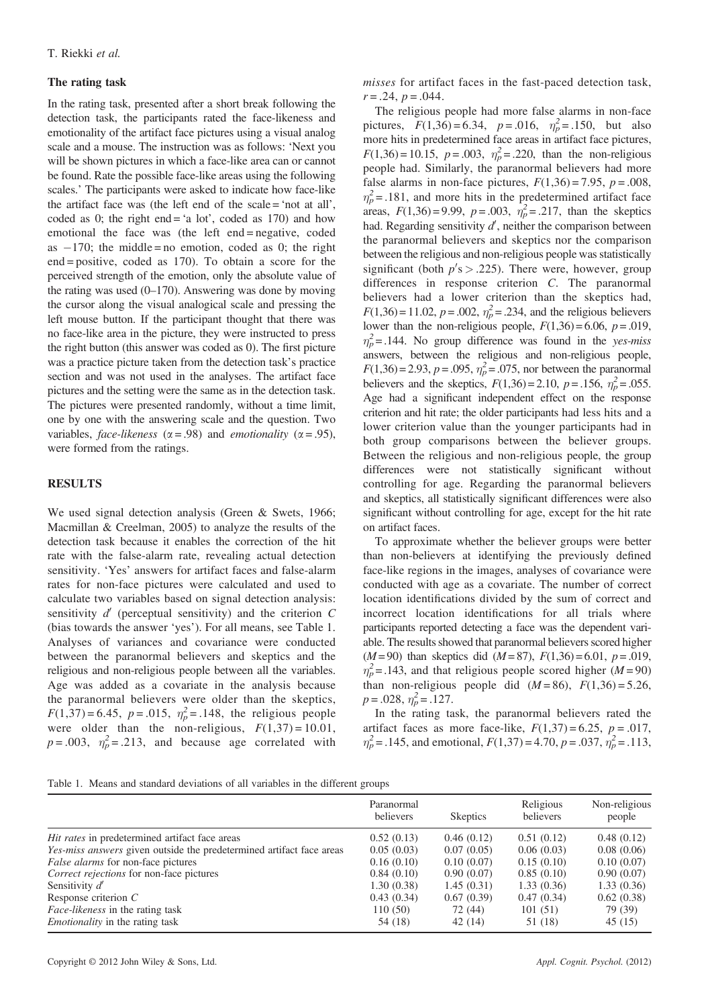#### The rating task

In the rating task, presented after a short break following the detection task, the participants rated the face-likeness and emotionality of the artifact face pictures using a visual analog scale and a mouse. The instruction was as follows: 'Next you will be shown pictures in which a face-like area can or cannot be found. Rate the possible face-like areas using the following scales.' The participants were asked to indicate how face-like the artifact face was (the left end of the scale = 'not at all', coded as 0; the right end  $=$  'a lot', coded as 170) and how emotional the face was (the left end = negative, coded as  $-170$ ; the middle = no emotion, coded as 0; the right end = positive, coded as 170). To obtain a score for the perceived strength of the emotion, only the absolute value of the rating was used  $(0-170)$ . Answering was done by moving the cursor along the visual analogical scale and pressing the left mouse button. If the participant thought that there was no face-like area in the picture, they were instructed to press the right button (this answer was coded as 0). The first picture was a practice picture taken from the detection task's practice section and was not used in the analyses. The artifact face pictures and the setting were the same as in the detection task. The pictures were presented randomly, without a time limit, one by one with the answering scale and the question. Two variables, *face-likeness* ( $\alpha$  = .98) and *emotionality* ( $\alpha$  = .95), were formed from the ratings.

#### **RESULTS**

We used signal detection analysis (Green & Swets, 1966; Macmillan & Creelman, 2005) to analyze the results of the detection task because it enables the correction of the hit rate with the false-alarm rate, revealing actual detection sensitivity. 'Yes' answers for artifact faces and false-alarm rates for non-face pictures were calculated and used to calculate two variables based on signal detection analysis: sensitivity  $d'$  (perceptual sensitivity) and the criterion  $C$ (bias towards the answer 'yes'). For all means, see Table 1. Analyses of variances and covariance were conducted between the paranormal believers and skeptics and the religious and non-religious people between all the variables. Age was added as a covariate in the analysis because the paranormal believers were older than the skeptics,  $F(1,37) = 6.45$ ,  $p = .015$ ,  $\eta_p^2 = .148$ , the religious people were older than the non-religious,  $F(1,37) = 10.01$ ,  $p = .003$ ,  $\eta_p^2 = .213$ , and because age correlated with

misses for artifact faces in the fast-paced detection task,  $r = .24, p = .044.$ 

The religious people had more false alarms in non-face pictures,  $F(1,36) = 6.34$ ,  $p = .016$ ,  $\eta_p^2 = .150$ , but also more hits in predetermined face areas in artifact face pictures,  $F(1,36) = 10.15$ ,  $p = .003$ ,  $\eta_p^2 = .220$ , than the non-religious people had. Similarly, the paranormal believers had more false alarms in non-face pictures,  $F(1,36) = 7.95$ ,  $p = .008$ ,  $\eta_p^2$  = .181, and more hits in the predetermined artifact face areas,  $F(1,36) = 9.99$ ,  $p = .003$ ,  $\eta_p^2 = .217$ , than the skeptics had. Regarding sensitivity  $d'$ , neither the comparison between the paranormal believers and skeptics nor the comparison between the religious and non-religious people was statistically significant (both  $p's > .225$ ). There were, however, group differences in response criterion C. The paranormal believers had a lower criterion than the skeptics had,  $F(1,36) = 11.02$ ,  $p = .002$ ,  $\eta_p^2 = .234$ , and the religious believers lower than the non-religious people,  $F(1,36) = 6.06$ ,  $p = .019$ ,  $\eta_p^2$ = .144. No group difference was found in the yes-miss answers, between the religious and non-religious people,  $F(1,36) = 2.93, p = .095, \eta_p^2 = .075$ , nor between the paranormal believers and the skeptics,  $F(1,36) = 2.10$ ,  $p = .156$ ,  $\eta_p^2 = .055$ . Age had a significant independent effect on the response criterion and hit rate; the older participants had less hits and a lower criterion value than the younger participants had in both group comparisons between the believer groups. Between the religious and non-religious people, the group differences were not statistically significant without controlling for age. Regarding the paranormal believers and skeptics, all statistically significant differences were also significant without controlling for age, except for the hit rate on artifact faces.

To approximate whether the believer groups were better than non-believers at identifying the previously defined face-like regions in the images, analyses of covariance were conducted with age as a covariate. The number of correct location identifications divided by the sum of correct and incorrect location identifications for all trials where participants reported detecting a face was the dependent variable. The results showed that paranormal believers scored higher  $(M=90)$  than skeptics did  $(M=87)$ ,  $F(1,36)=6.01$ ,  $p=.019$ ,  $\eta_p^2$  = .143, and that religious people scored higher (M = 90) than non-religious people did  $(M = 86)$ ,  $F(1,36) = 5.26$ ,  $p = .028, \eta_p^2 = .127.$ 

In the rating task, the paranormal believers rated the artifact faces as more face-like,  $F(1,37) = 6.25$ ,  $p = .017$ ,  $\eta_p^2 = .145$ , and emotional,  $F(1,37) = 4.70$ ,  $p = .037$ ,  $\hat{\eta}_p^2 = .113$ ,

|  | Table 1. Means and standard deviations of all variables in the different groups |  |  |  |  |  |  |  |  |
|--|---------------------------------------------------------------------------------|--|--|--|--|--|--|--|--|
|--|---------------------------------------------------------------------------------|--|--|--|--|--|--|--|--|

|                                                                             | Paranormal<br>believers | <b>Skeptics</b> | Religious<br>believers | Non-religious<br>people |
|-----------------------------------------------------------------------------|-------------------------|-----------------|------------------------|-------------------------|
| <i>Hit rates</i> in predetermined artifact face areas                       | 0.52(0.13)              | 0.46(0.12)      | 0.51(0.12)             | 0.48(0.12)              |
| <i>Yes-miss answers</i> given outside the predetermined artifact face areas | 0.05(0.03)              | 0.07(0.05)      | 0.06(0.03)             | 0.08(0.06)              |
| False alarms for non-face pictures                                          | 0.16(0.10)              | 0.10(0.07)      | 0.15(0.10)             | 0.10(0.07)              |
| Correct rejections for non-face pictures                                    | 0.84(0.10)              | 0.90(0.07)      | 0.85(0.10)             | 0.90(0.07)              |
| Sensitivity $d'$                                                            | 1.30(0.38)              | 1.45(0.31)      | 1.33(0.36)             | 1.33(0.36)              |
| Response criterion $C$                                                      | 0.43(0.34)              | 0.67(0.39)      | 0.47(0.34)             | 0.62(0.38)              |
| <i>Face-likeness</i> in the rating task                                     | 110 (50)                | 72 (44)         | 101(51)                | 79 (39)                 |
| <i>Emotionality</i> in the rating task                                      | 54 (18)                 | 42(14)          | 51 (18)                | 45(15)                  |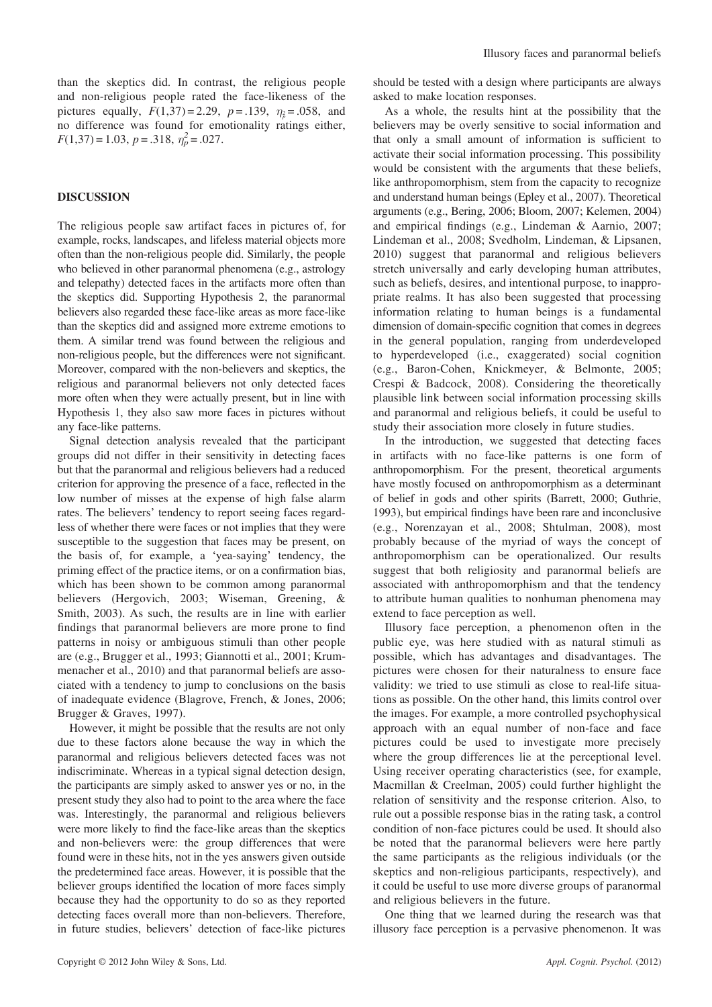than the skeptics did. In contrast, the religious people and non-religious people rated the face-likeness of the pictures equally,  $F(1,37) = 2.29$ ,  $p = .139$ ,  $\eta_{\rho} = .058$ , and no difference was found for emotionality ratings either,  $F(1,37) = 1.03, p = .318, \eta_p^2 = .027.$ 

#### DISCUSSION

The religious people saw artifact faces in pictures of, for example, rocks, landscapes, and lifeless material objects more often than the non-religious people did. Similarly, the people who believed in other paranormal phenomena (e.g., astrology and telepathy) detected faces in the artifacts more often than the skeptics did. Supporting Hypothesis 2, the paranormal believers also regarded these face-like areas as more face-like than the skeptics did and assigned more extreme emotions to them. A similar trend was found between the religious and non-religious people, but the differences were not significant. Moreover, compared with the non-believers and skeptics, the religious and paranormal believers not only detected faces more often when they were actually present, but in line with Hypothesis 1, they also saw more faces in pictures without any face-like patterns.

Signal detection analysis revealed that the participant groups did not differ in their sensitivity in detecting faces but that the paranormal and religious believers had a reduced criterion for approving the presence of a face, reflected in the low number of misses at the expense of high false alarm rates. The believers' tendency to report seeing faces regardless of whether there were faces or not implies that they were susceptible to the suggestion that faces may be present, on the basis of, for example, a 'yea-saying' tendency, the priming effect of the practice items, or on a confirmation bias, which has been shown to be common among paranormal believers (Hergovich, 2003; Wiseman, Greening, & Smith, 2003). As such, the results are in line with earlier findings that paranormal believers are more prone to find patterns in noisy or ambiguous stimuli than other people are (e.g., Brugger et al., 1993; Giannotti et al., 2001; Krummenacher et al., 2010) and that paranormal beliefs are associated with a tendency to jump to conclusions on the basis of inadequate evidence (Blagrove, French, & Jones, 2006; Brugger & Graves, 1997).

However, it might be possible that the results are not only due to these factors alone because the way in which the paranormal and religious believers detected faces was not indiscriminate. Whereas in a typical signal detection design, the participants are simply asked to answer yes or no, in the present study they also had to point to the area where the face was. Interestingly, the paranormal and religious believers were more likely to find the face-like areas than the skeptics and non-believers were: the group differences that were found were in these hits, not in the yes answers given outside the predetermined face areas. However, it is possible that the believer groups identified the location of more faces simply because they had the opportunity to do so as they reported detecting faces overall more than non-believers. Therefore, in future studies, believers' detection of face-like pictures

should be tested with a design where participants are always asked to make location responses.

As a whole, the results hint at the possibility that the believers may be overly sensitive to social information and that only a small amount of information is sufficient to activate their social information processing. This possibility would be consistent with the arguments that these beliefs, like anthropomorphism, stem from the capacity to recognize and understand human beings (Epley et al., 2007). Theoretical arguments (e.g., Bering, 2006; Bloom, 2007; Kelemen, 2004) and empirical findings (e.g., Lindeman & Aarnio, 2007; Lindeman et al., 2008; Svedholm, Lindeman, & Lipsanen, 2010) suggest that paranormal and religious believers stretch universally and early developing human attributes, such as beliefs, desires, and intentional purpose, to inappropriate realms. It has also been suggested that processing information relating to human beings is a fundamental dimension of domain-specific cognition that comes in degrees in the general population, ranging from underdeveloped to hyperdeveloped (i.e., exaggerated) social cognition (e.g., Baron-Cohen, Knickmeyer, & Belmonte, 2005; Crespi & Badcock, 2008). Considering the theoretically plausible link between social information processing skills and paranormal and religious beliefs, it could be useful to study their association more closely in future studies.

In the introduction, we suggested that detecting faces in artifacts with no face-like patterns is one form of anthropomorphism. For the present, theoretical arguments have mostly focused on anthropomorphism as a determinant of belief in gods and other spirits (Barrett, 2000; Guthrie, 1993), but empirical findings have been rare and inconclusive (e.g., Norenzayan et al., 2008; Shtulman, 2008), most probably because of the myriad of ways the concept of anthropomorphism can be operationalized. Our results suggest that both religiosity and paranormal beliefs are associated with anthropomorphism and that the tendency to attribute human qualities to nonhuman phenomena may extend to face perception as well.

Illusory face perception, a phenomenon often in the public eye, was here studied with as natural stimuli as possible, which has advantages and disadvantages. The pictures were chosen for their naturalness to ensure face validity: we tried to use stimuli as close to real-life situations as possible. On the other hand, this limits control over the images. For example, a more controlled psychophysical approach with an equal number of non-face and face pictures could be used to investigate more precisely where the group differences lie at the perceptional level. Using receiver operating characteristics (see, for example, Macmillan & Creelman, 2005) could further highlight the relation of sensitivity and the response criterion. Also, to rule out a possible response bias in the rating task, a control condition of non-face pictures could be used. It should also be noted that the paranormal believers were here partly the same participants as the religious individuals (or the skeptics and non-religious participants, respectively), and it could be useful to use more diverse groups of paranormal and religious believers in the future.

One thing that we learned during the research was that illusory face perception is a pervasive phenomenon. It was